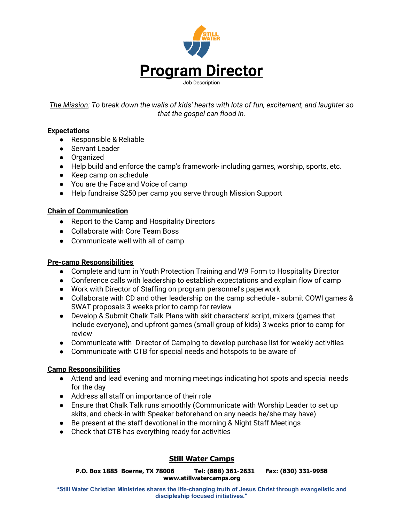

*The Mission: To break down the walls of kids' hearts with lots of fun, excitement, and laughter so that the gospel can flood in.*

## **Expectations**

- Responsible & Reliable
- Servant Leader
- Organized
- Help build and enforce the camp's framework- including games, worship, sports, etc.
- Keep camp on schedule
- You are the Face and Voice of camp
- Help fundraise \$250 per camp you serve through Mission Support

## **Chain of Communication**

- Report to the Camp and Hospitality Directors
- Collaborate with Core Team Boss
- Communicate well with all of camp

#### **Pre-camp Responsibilities**

- Complete and turn in Youth Protection Training and W9 Form to Hospitality Director
- Conference calls with leadership to establish expectations and explain flow of camp
- Work with Director of Staffing on program personnel's paperwork
- Collaborate with CD and other leadership on the camp schedule submit COWI games & SWAT proposals 3 weeks prior to camp for review
- Develop & Submit Chalk Talk Plans with skit characters' script, mixers (games that include everyone), and upfront games (small group of kids) 3 weeks prior to camp for review
- Communicate with Director of Camping to develop purchase list for weekly activities
- Communicate with CTB for special needs and hotspots to be aware of

#### **Camp Responsibilities**

- Attend and lead evening and morning meetings indicating hot spots and special needs for the day
- Address all staff on importance of their role
- Ensure that Chalk Talk runs smoothly (Communicate with Worship Leader to set up skits, and check-in with Speaker beforehand on any needs he/she may have)
- Be present at the staff devotional in the morning & Night Staff Meetings
- Check that CTB has everything ready for activities

# **Still Water Camps**

**P.O. Box 1885 Boerne, TX 78006 Tel: (888) 361-2631 Fax: (830) 331-9958 www.stillwatercamps.org**

**"Still Water Christian Ministries shares the life-changing truth of Jesus Christ through evangelistic and discipleship focused initiatives."**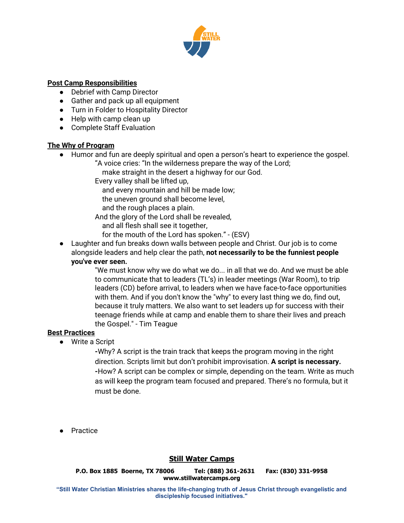

## **Post Camp Responsibilities**

- Debrief with Camp Director
- Gather and pack up all equipment
- Turn in Folder to Hospitality Director
- Help with camp clean up
- Complete Staff Evaluation

#### **The Why of Program**

- Humor and fun are deeply spiritual and open a person's heart to experience the gospel.
	- "A voice cries: "In the wilderness prepare the way of the Lord; make straight in the desert a highway for our God.
	- Every valley shall be lifted up,
	- and every mountain and hill be made low;
	- the uneven ground shall become level,
	- and the rough places a plain.
	- And the glory of the Lord shall be revealed, and all flesh shall see it together,
		- for the mouth of the Lord has spoken." (ESV)
- Laughter and fun breaks down walls between people and Christ. Our job is to come alongside leaders and help clear the path, **not necessarily to be the funniest people you've ever seen.**
	- "We must know why we do what we do... in all that we do. And we must be able to communicate that to leaders (TL's) in leader meetings (War Room), to trip leaders (CD) before arrival, to leaders when we have face-to-face opportunities with them. And if you don't know the "why" to every last thing we do, find out, because it truly matters. We also want to set leaders up for success with their teenage friends while at camp and enable them to share their lives and preach the Gospel." - Tim Teague

#### **Best Practices**

● Write a Script

**-**Why? A script is the train track that keeps the program moving in the right direction. Scripts limit but don't prohibit improvisation. **A script is necessary. -**How? A script can be complex or simple, depending on the team. Write as much as will keep the program team focused and prepared. There's no formula, but it must be done.

● Practice

#### **Still Water Camps**

**P.O. Box 1885 Boerne, TX 78006 Tel: (888) 361-2631 Fax: (830) 331-9958 www.stillwatercamps.org**

**"Still Water Christian Ministries shares the life-changing truth of Jesus Christ through evangelistic and discipleship focused initiatives."**